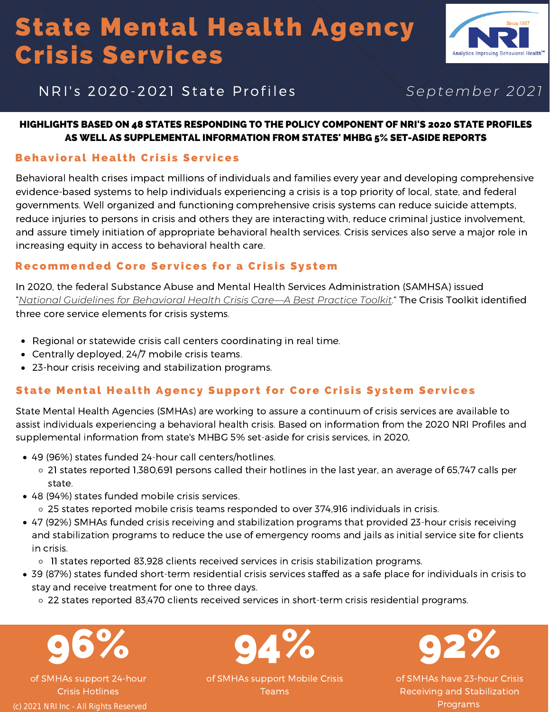# State Mental Health Agency Crisis Services



### NRI's 2020-2021 State Profiles September 2021

#### HIGHLIGHTS BASED ON 48 STATES RESPONDING TO THE POLICY COMPONENT OF NRI'S 2020 STATE PROFILES AS WELL AS SUPPLEMENTAL INFORMATION FROM STATES' MHBG 5% SET-ASIDE REPORTS

#### Behavioral Health Crisis Services

Behavioral health crises impact millions of individuals and families every year and developing comprehensive evidence-based systems to help individuals experiencing a crisis is a top priority of local, state, and federal governments. Well organized and functioning comprehensive crisis systems can reduce suicide attempts, reduce injuries to persons in crisis and others they are interacting with, reduce criminal justice involvement, and assure timely initiation of appropriate behavioral health services. Crisis services also serve a major role in increasing equity in access to behavioral health care.

#### Recommended Core Services for a Crisis System

In 2020, the federal Substance Abuse and Mental Health Services Administration (SAMHSA) issued "*[National Guidelines for Behavioral Health Crisis Care—A Best Practice Toolkit](https://www.samhsa.gov/find-help/implementing-behavioral-health-crisis-care)*." The Crisis Toolkit identified three core service elements for crisis systems.

- Regional or statewide crisis call centers coordinating in real time.
- Centrally deployed, 24/7 mobile crisis teams.
- 23-hour crisis receiving and stabilization programs.

### State Mental Health Agency Support for Core Crisis System Services

State Mental Health Agencies (SMHAs) are working to assure a continuum of crisis services are available to assist individuals experiencing a behavioral health crisis. Based on information from the 2020 NRI Profiles and supplemental information from state's MHBG 5% set-aside for crisis services, in 2020,

- 49 (96%) states funded 24-hour call centers/hotlines.
	- 21 states reported 1,380,691 persons called their hotlines in the last year, an average of 65,747 calls per state.
- 48 (94%) states funded mobile crisis services.
	- 25 states reported mobile crisis teams responded to over 374,916 individuals in crisis.
- 47 (92%) SMHAs funded crisis receiving and stabilization programs that provided 23-hour crisis receiving and stabilization programs to reduce the use of emergency rooms and jails as initial service site for clients in crisis.
	- o 11 states reported 83,928 clients received services in crisis stabilization programs.
- 39 (87%) states funded short-term residential crisis services staffed as a safe place for individuals in crisis to stay and receive treatment for one to three days.
	- 22 states reported 83,470 clients received services in short-term crisis residential programs.

96%

of SMHAs support 24-hour Crisis Hotlines (c) 2021 NRI Inc - All Rights Reserved



92%

of SMHAs have 23-hour Crisis Receiving and Stabilization Programs

of SMHAs support Mobile Crisis Teams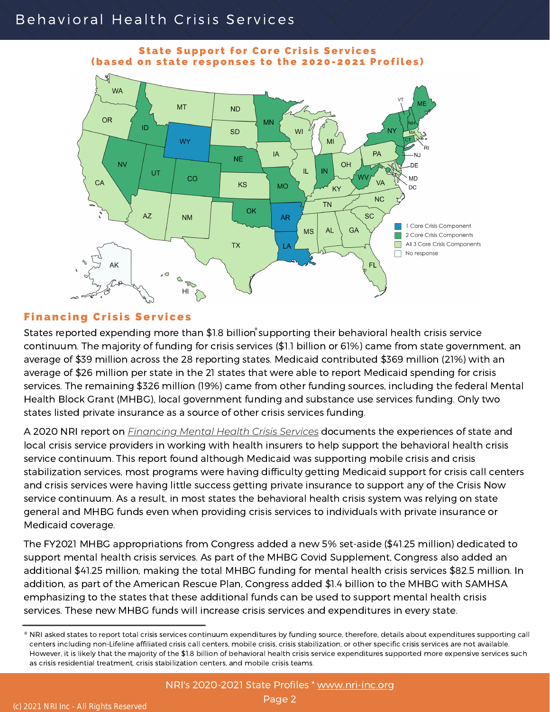## Behavioral Health Crisis Services



#### **State Support for Core Crisis Services** (based on state responses to the 2020-2021 Profiles)

### **Financing Crisis Services**

States reported expending more than \$1.8 billion supporting their behavioral health crisis service continuum. The majority of funding for crisis services (\$1.1 billion or 61%) came from state government, an average of \$39 million across the 28 reporting states. Medicaid contributed \$369 million (21%) with an average of \$26 million per state in the 21 states that were able to report Medicaid spending for crisis services. The remaining \$326 million (19%) came from other funding sources, including the federal Mental Health Block Grant (MHBG), local government funding and substance use services funding. Only two states listed private insurance as a source of other crisis services funding.

A 2020 NRI report on *[Financing Mental Health Crisis Services](https://www.nasmhpd.org/sites/default/files/2020paper7.pdf)* documents the experiences of state and local crisis service providers in working with health insurers to help support the behavioral health crisis service continuum. This report found although Medicaid was supporting mobile crisis and crisis stabilization services, most programs were having difficulty getting Medicaid support for crisis call centers and crisis services were having little success getting private insurance to support any of the Crisis Now service continuum. As a result, in most states the behavioral health crisis system was relying on state general and MHBG funds even when providing crisis services to individuals with private insurance or Medicaid coverage.

The FY2021 MHBG appropriations from Congress added a new 5% set-aside (\$41.25 million) dedicated to support mental health crisis services. As part of the MHBG Covid Supplement, Congress also added an additional \$41.25 million, making the total MHBG funding for mental health crisis services \$82.5 million. In addition, as part of the American Rescue Plan, Congress added \$1.4 billion to the MHBG with SAMHSA emphasizing to the states that these additional funds can be used to support mental health crisis services. These new MHBG funds will increase crisis services and expenditures in every state.

<sup>\*</sup> NRI asked states to report total crisis services continuum expenditures by funding source, therefore, details about expenditures supporting call centers including non-Lifeline affiliated crisis call centers, mobile crisis, crisis stabilization, or other specific crisis services are not available. However, it is likely that the majority of the \$1.8 billion of behavioral health crisis service expenditures supported more expensive services such as crisis residential treatment, crisis stabilization centers, and mobile crisis teams.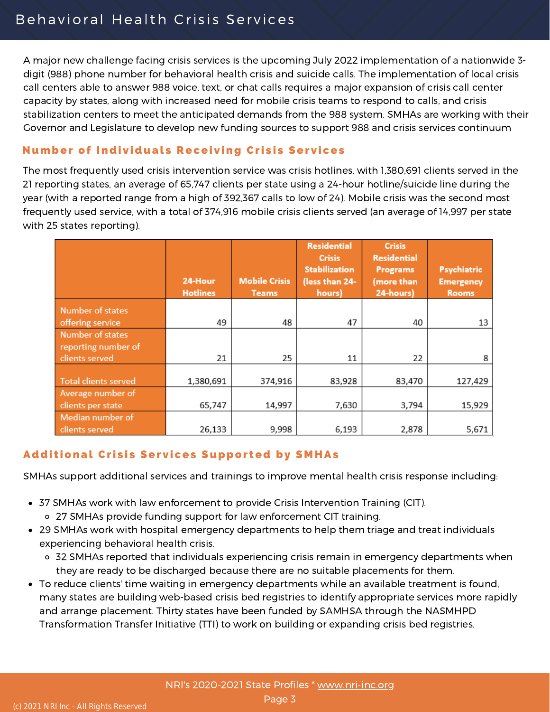A major new challenge facing crisis services is the upcoming July 2022 implementation of a nationwide 3 digit (988) phone number for behavioral health crisis and suicide calls. The implementation of local crisis call centers able to answer 988 voice, text, or chat calls requires a major expansion of crisis call center capacity by states, along with increased need for mobile crisis teams to respond to calls, and crisis stabilization centers to meet the anticipated demands from the 988 system. SMHAs are working with their Governor and Legislature to develop new funding sources to support 988 and crisis services continuum

### **Number of Individuals Receiving Crisis Services**

The most frequently used crisis intervention service was crisis hotlines, with 1,380,691 clients served in the 21 reporting states, an average of 65,747 clients per state using a 24-hour hotline/suicide line during the year (with a reported range from a high of 392,367 calls to low of 24). Mobile crisis was the second most frequently used service, with a total of 374,916 mobile crisis clients served (an average of 14,997 per state with 25 states reporting).

|                             | 24-Hour<br><b>Hotlines</b> | <b>Mobile Crisis</b><br><b>Teams</b> | <b>Residential</b><br><b>Crisis</b><br><b>Stabilization</b><br>(less than 24-<br>hours) | <b>Crisis</b><br><b>Residential</b><br><b>Programs</b><br>(more than<br>24-hours) | Psychiatric<br><b>Emergency</b><br><b>Rooms</b> |
|-----------------------------|----------------------------|--------------------------------------|-----------------------------------------------------------------------------------------|-----------------------------------------------------------------------------------|-------------------------------------------------|
| Number of states            |                            |                                      |                                                                                         |                                                                                   |                                                 |
| offering service            | 49                         | 48                                   | 47                                                                                      | 40                                                                                | 13                                              |
| Number of states            |                            |                                      |                                                                                         |                                                                                   |                                                 |
| reporting number of         |                            |                                      |                                                                                         |                                                                                   |                                                 |
| clients served              | 21                         | 25                                   | 11                                                                                      | 22                                                                                | 8                                               |
|                             |                            |                                      |                                                                                         |                                                                                   |                                                 |
| <b>Total clients served</b> | 1,380,691                  | 374,916                              | 83,928                                                                                  | 83,470                                                                            | 127,429                                         |
| Average number of           |                            |                                      |                                                                                         |                                                                                   |                                                 |
| clients per state           | 65,747                     | 14,997                               | 7,630                                                                                   | 3,794                                                                             | 15,929                                          |
| Median number of            |                            |                                      |                                                                                         |                                                                                   |                                                 |
| clients served              | 26,133                     | 9,998                                | 6,193                                                                                   | 2,878                                                                             | 5,671                                           |

### Additional Crisis Services Supported by SMHAs

SMHAs support additional services and trainings to improve mental health crisis response including:

- 37 SMHAs work with law enforcement to provide Crisis Intervention Training (CIT). 27 SMHAs provide funding support for law enforcement CIT training.
- 29 SMHAs work with hospital emergency departments to help them triage and treat individuals experiencing behavioral health crisis.
	- 32 SMHAs reported that individuals experiencing crisis remain in emergency departments when they are ready to be discharged because there are no suitable placements for them.
- To reduce clients' time waiting in emergency departments while an available treatment is found, many states are building web-based crisis bed registries to identify appropriate services more rapidly and arrange placement. Thirty states have been funded by SAMHSA through the NASMHPD Transformation Transfer Initiative (TTI) to work on building or expanding crisis bed registries.